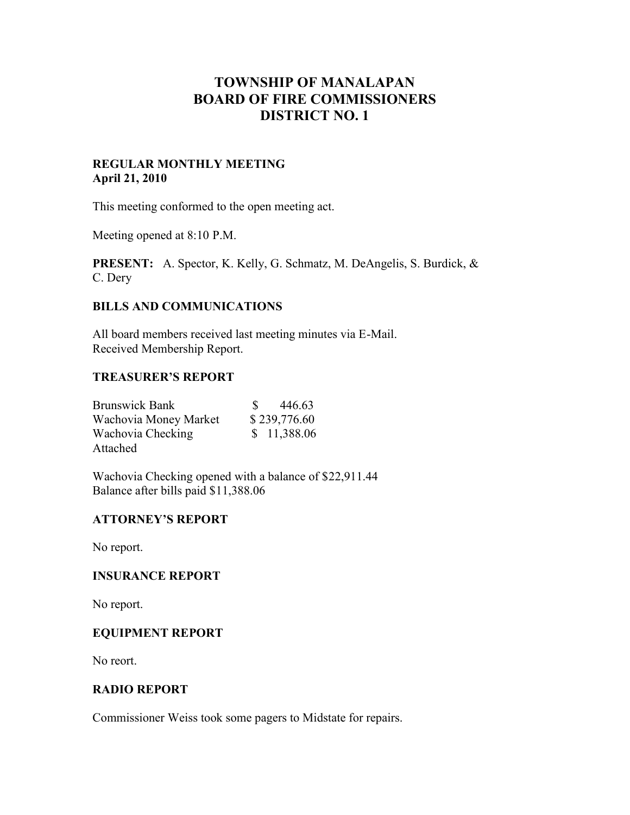# **TOWNSHIP OF MANALAPAN BOARD OF FIRE COMMISSIONERS DISTRICT NO. 1**

#### **REGULAR MONTHLY MEETING April 21, 2010**

This meeting conformed to the open meeting act.

Meeting opened at 8:10 P.M.

**PRESENT:** A. Spector, K. Kelly, G. Schmatz, M. DeAngelis, S. Burdick, & C. Dery

## **BILLS AND COMMUNICATIONS**

All board members received last meeting minutes via E-Mail. Received Membership Report.

#### **TREASURER'S REPORT**

| <b>Brunswick Bank</b> | 446.63       |
|-----------------------|--------------|
| Wachovia Money Market | \$239,776.60 |
| Wachovia Checking     | \$11,388.06  |
| Attached              |              |

Wachovia Checking opened with a balance of \$22,911.44 Balance after bills paid \$11,388.06

## **ATTORNEY'S REPORT**

No report.

#### **INSURANCE REPORT**

No report.

#### **EQUIPMENT REPORT**

No reort.

#### **RADIO REPORT**

Commissioner Weiss took some pagers to Midstate for repairs.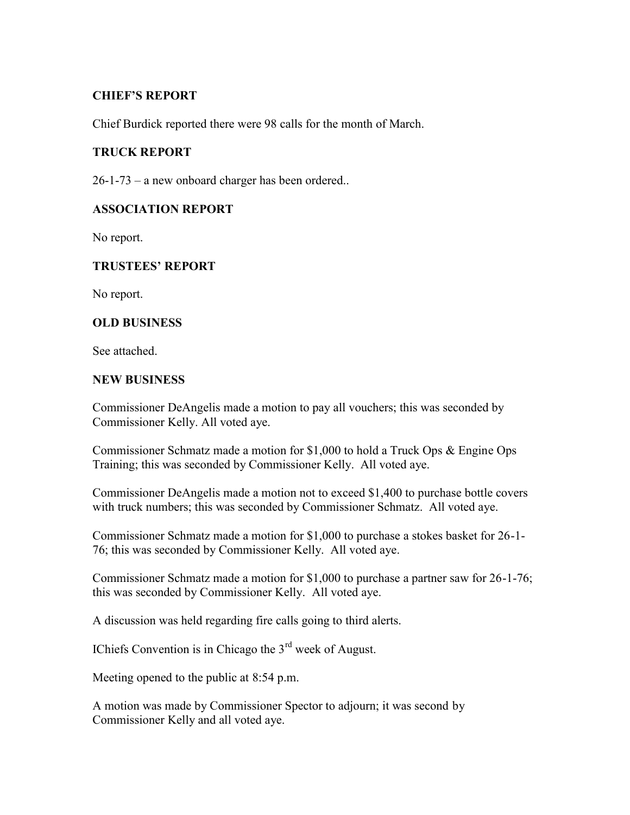## **CHIEF'S REPORT**

Chief Burdick reported there were 98 calls for the month of March.

# **TRUCK REPORT**

26-1-73 – a new onboard charger has been ordered..

## **ASSOCIATION REPORT**

No report.

## **TRUSTEES' REPORT**

No report.

## **OLD BUSINESS**

See attached.

#### **NEW BUSINESS**

Commissioner DeAngelis made a motion to pay all vouchers; this was seconded by Commissioner Kelly. All voted aye.

Commissioner Schmatz made a motion for \$1,000 to hold a Truck Ops & Engine Ops Training; this was seconded by Commissioner Kelly. All voted aye.

Commissioner DeAngelis made a motion not to exceed \$1,400 to purchase bottle covers with truck numbers; this was seconded by Commissioner Schmatz. All voted aye.

Commissioner Schmatz made a motion for \$1,000 to purchase a stokes basket for 26-1- 76; this was seconded by Commissioner Kelly. All voted aye.

Commissioner Schmatz made a motion for \$1,000 to purchase a partner saw for 26-1-76; this was seconded by Commissioner Kelly. All voted aye.

A discussion was held regarding fire calls going to third alerts.

IChiefs Convention is in Chicago the 3rd week of August.

Meeting opened to the public at 8:54 p.m.

A motion was made by Commissioner Spector to adjourn; it was second by Commissioner Kelly and all voted aye.